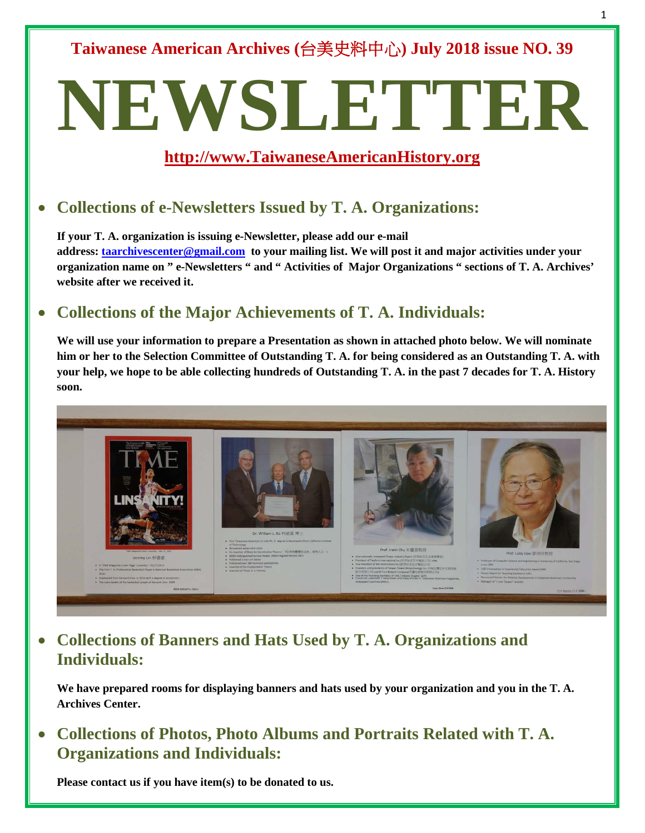**Taiwanese American Archives (**台美史料中心**) July 2018 issue NO. 39**

# **NEWSLETTER**

### **[http://www.TaiwaneseAmericanHistory.org](http://www.taiwaneseamericanhistory.org/)**

# • **Collections of e-Newsletters Issued by T. A. Organizations:**

**If your T. A. organization is issuing e-Newsletter, please add our e-mail address: [taarchivescenter@gmail.com](mailto:taarchivescenter@gmail.com) to your mailing list. We will post it and major activities under your organization name on " e-Newsletters " and " Activities of Major Organizations " sections of T. A. Archives' website after we received it.** 

### • **Collections of the Major Achievements of T. A. Individuals:**

**We will use your information to prepare a Presentation as shown in attached photo below. We will nominate him or her to the Selection Committee of Outstanding T. A. for being considered as an Outstanding T. A. with your help, we hope to be able collecting hundreds of Outstanding T. A. in the past 7 decades for T. A. History soon.**



• **Collections of Banners and Hats Used by T. A. Organizations and Individuals:**

**We have prepared rooms for displaying banners and hats used by your organization and you in the T. A. Archives Center.**

• **Collections of Photos, Photo Albums and Portraits Related with T. A. Organizations and Individuals:**

**Please contact us if you have item(s) to be donated to us.**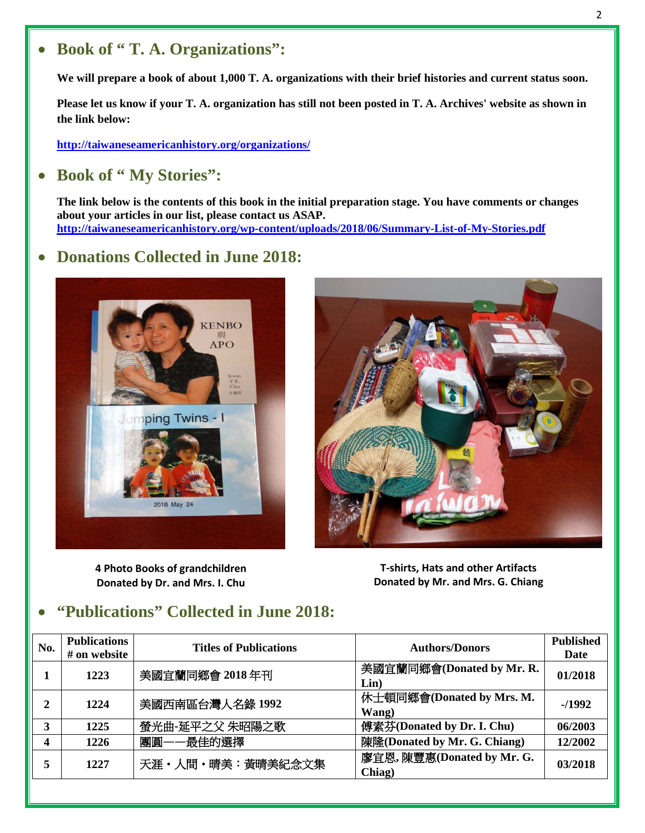#### 2

## • **Book of " T. A. Organizations":**

**We will prepare a book of about 1,000 T. A. organizations with their brief histories and current status soon.**

**Please let us know if your T. A. organization has still not been posted in T. A. Archives' website as shown in the link below:** 

**<http://taiwaneseamericanhistory.org/organizations/>**

#### • **Book of " My Stories":**

**The link below is the contents of this book in the initial preparation stage. You have comments or changes about your articles in our list, please contact us ASAP. <http://taiwaneseamericanhistory.org/wp-content/uploads/2018/06/Summary-List-of-My-Stories.pdf>**

#### • **Donations Collected in June 2018:**



**4 Photo Books of grandchildren Donated by Dr. and Mrs. I. Chu**



**T-shirts, Hats and other Artifacts Donated by Mr. and Mrs. G. Chiang**

### • **"Publications" Collected in June 2018:**

| No. | <b>Publications</b> | <b>Titles of Publications</b> | <b>Authors/Donors</b>        | <b>Published</b> |
|-----|---------------------|-------------------------------|------------------------------|------------------|
|     | # on website        |                               |                              | Date             |
|     | 1223                | 美國宜蘭同鄉會 2018年刊                | 美國宜蘭同鄉會(Donated by Mr. R.    | 01/2018          |
|     |                     |                               | Lin)                         |                  |
| 2   | 1224                | 美國西南區台灣人名錄 1992               | 休士頓同鄉會(Donated by Mrs. M.    | $-1992$          |
|     |                     |                               | Wang)                        |                  |
| 3   | 1225                | 螢光曲-延平之父 朱昭陽之歌                | 傅素芬(Donated by Dr. I. Chu)   | 06/2003          |
|     | 1226                | 團圓——最佳的選擇                     | 陳隆(Donated by Mr. G. Chiang) | 12/2002          |
| 5   | 1227                | 天涯・人間・晴美:黃晴美紀念文集              | 廖宜恩, 陳豐惠(Donated by Mr. G.   | 03/2018          |
|     |                     |                               | Chiag)                       |                  |
|     |                     |                               |                              |                  |